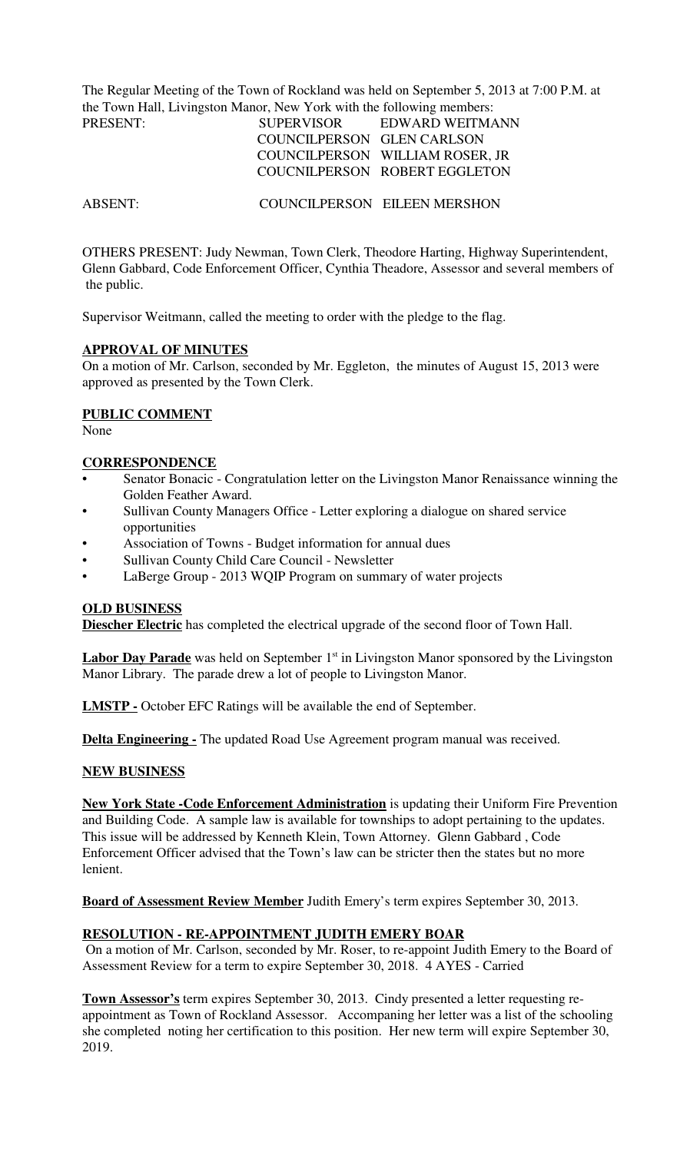The Regular Meeting of the Town of Rockland was held on September 5, 2013 at 7:00 P.M. at the Town Hall, Livingston Manor, New York with the following members:

| PRESENT: | SUPERVISOR                 | EDWARD WEITMANN                 |
|----------|----------------------------|---------------------------------|
|          | COUNCILPERSON GLEN CARLSON |                                 |
|          |                            | COUNCILPERSON WILLIAM ROSER, JR |
|          |                            | COUCNILPERSON ROBERT EGGLETON   |

ABSENT: COUNCILPERSON EILEEN MERSHON

OTHERS PRESENT: Judy Newman, Town Clerk, Theodore Harting, Highway Superintendent, Glenn Gabbard, Code Enforcement Officer, Cynthia Theadore, Assessor and several members of the public.

Supervisor Weitmann, called the meeting to order with the pledge to the flag.

#### **APPROVAL OF MINUTES**

On a motion of Mr. Carlson, seconded by Mr. Eggleton, the minutes of August 15, 2013 were approved as presented by the Town Clerk.

### **PUBLIC COMMENT**

None

#### **CORRESPONDENCE**

- Senator Bonacic Congratulation letter on the Livingston Manor Renaissance winning the Golden Feather Award.
- Sullivan County Managers Office Letter exploring a dialogue on shared service opportunities
- Association of Towns Budget information for annual dues
- Sullivan County Child Care Council Newsletter
- LaBerge Group 2013 WQIP Program on summary of water projects

#### **OLD BUSINESS**

**Diescher Electric** has completed the electrical upgrade of the second floor of Town Hall.

**Labor Day Parade** was held on September 1<sup>st</sup> in Livingston Manor sponsored by the Livingston Manor Library. The parade drew a lot of people to Livingston Manor.

**LMSTP -** October EFC Ratings will be available the end of September.

**Delta Engineering -** The updated Road Use Agreement program manual was received.

### **NEW BUSINESS**

**New York State -Code Enforcement Administration** is updating their Uniform Fire Prevention and Building Code. A sample law is available for townships to adopt pertaining to the updates. This issue will be addressed by Kenneth Klein, Town Attorney. Glenn Gabbard , Code Enforcement Officer advised that the Town's law can be stricter then the states but no more lenient.

**Board of Assessment Review Member** Judith Emery's term expires September 30, 2013.

### **RESOLUTION - RE-APPOINTMENT JUDITH EMERY BOAR**

 On a motion of Mr. Carlson, seconded by Mr. Roser, to re-appoint Judith Emery to the Board of Assessment Review for a term to expire September 30, 2018. 4 AYES - Carried

**Town Assessor's** term expires September 30, 2013. Cindy presented a letter requesting reappointment as Town of Rockland Assessor. Accompaning her letter was a list of the schooling she completed noting her certification to this position. Her new term will expire September 30, 2019.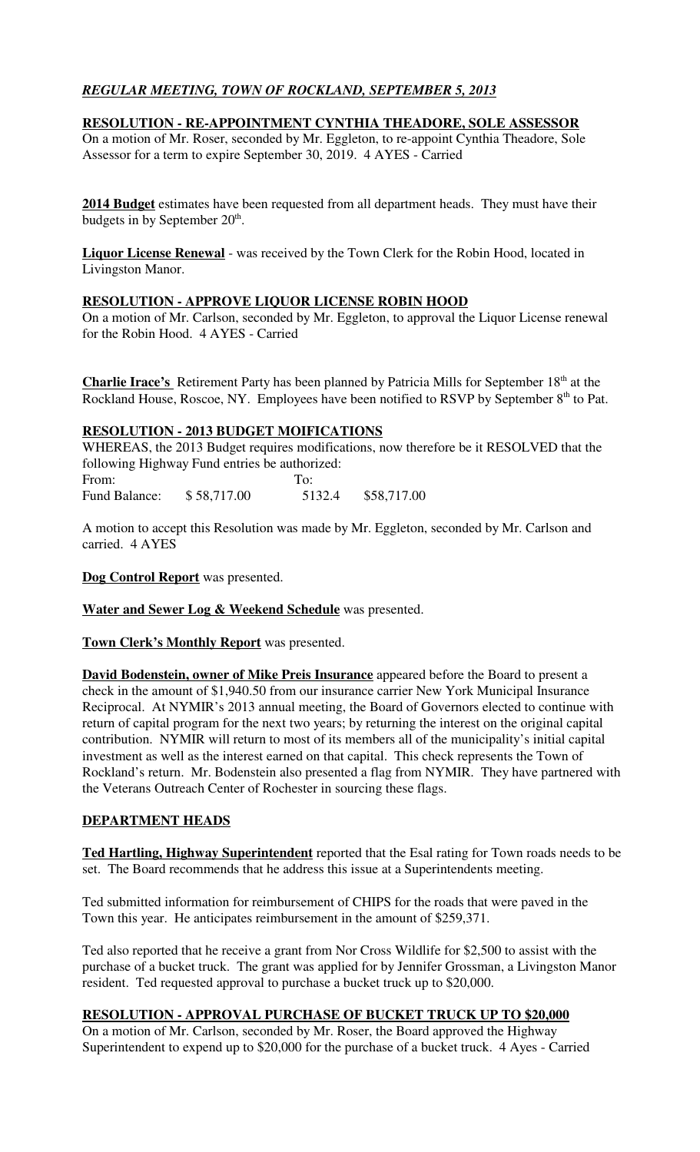# *REGULAR MEETING, TOWN OF ROCKLAND, SEPTEMBER 5, 2013*

## **RESOLUTION - RE-APPOINTMENT CYNTHIA THEADORE, SOLE ASSESSOR**

On a motion of Mr. Roser, seconded by Mr. Eggleton, to re-appoint Cynthia Theadore, Sole Assessor for a term to expire September 30, 2019. 4 AYES - Carried

**2014 Budget** estimates have been requested from all department heads. They must have their budgets in by September  $20<sup>th</sup>$ .

**Liquor License Renewal** - was received by the Town Clerk for the Robin Hood, located in Livingston Manor.

### **RESOLUTION - APPROVE LIQUOR LICENSE ROBIN HOOD**

On a motion of Mr. Carlson, seconded by Mr. Eggleton, to approval the Liquor License renewal for the Robin Hood. 4 AYES - Carried

**Charlie Irace's** Retirement Party has been planned by Patricia Mills for September 18<sup>th</sup> at the Rockland House, Roscoe, NY. Employees have been notified to RSVP by September 8<sup>th</sup> to Pat.

### **RESOLUTION - 2013 BUDGET MOIFICATIONS**

WHEREAS, the 2013 Budget requires modifications, now therefore be it RESOLVED that the following Highway Fund entries be authorized:

From: To: Fund Balance: \$58,717.00 5132.4 \$58,717.00

A motion to accept this Resolution was made by Mr. Eggleton, seconded by Mr. Carlson and carried. 4 AYES

**Dog Control Report** was presented.

**Water and Sewer Log & Weekend Schedule** was presented.

**Town Clerk's Monthly Report** was presented.

**David Bodenstein, owner of Mike Preis Insurance** appeared before the Board to present a check in the amount of \$1,940.50 from our insurance carrier New York Municipal Insurance Reciprocal. At NYMIR's 2013 annual meeting, the Board of Governors elected to continue with return of capital program for the next two years; by returning the interest on the original capital contribution. NYMIR will return to most of its members all of the municipality's initial capital investment as well as the interest earned on that capital. This check represents the Town of Rockland's return. Mr. Bodenstein also presented a flag from NYMIR. They have partnered with the Veterans Outreach Center of Rochester in sourcing these flags.

### **DEPARTMENT HEADS**

**Ted Hartling, Highway Superintendent** reported that the Esal rating for Town roads needs to be set. The Board recommends that he address this issue at a Superintendents meeting.

Ted submitted information for reimbursement of CHIPS for the roads that were paved in the Town this year. He anticipates reimbursement in the amount of \$259,371.

Ted also reported that he receive a grant from Nor Cross Wildlife for \$2,500 to assist with the purchase of a bucket truck. The grant was applied for by Jennifer Grossman, a Livingston Manor resident. Ted requested approval to purchase a bucket truck up to \$20,000.

### **RESOLUTION - APPROVAL PURCHASE OF BUCKET TRUCK UP TO \$20,000**

On a motion of Mr. Carlson, seconded by Mr. Roser, the Board approved the Highway Superintendent to expend up to \$20,000 for the purchase of a bucket truck. 4 Ayes - Carried